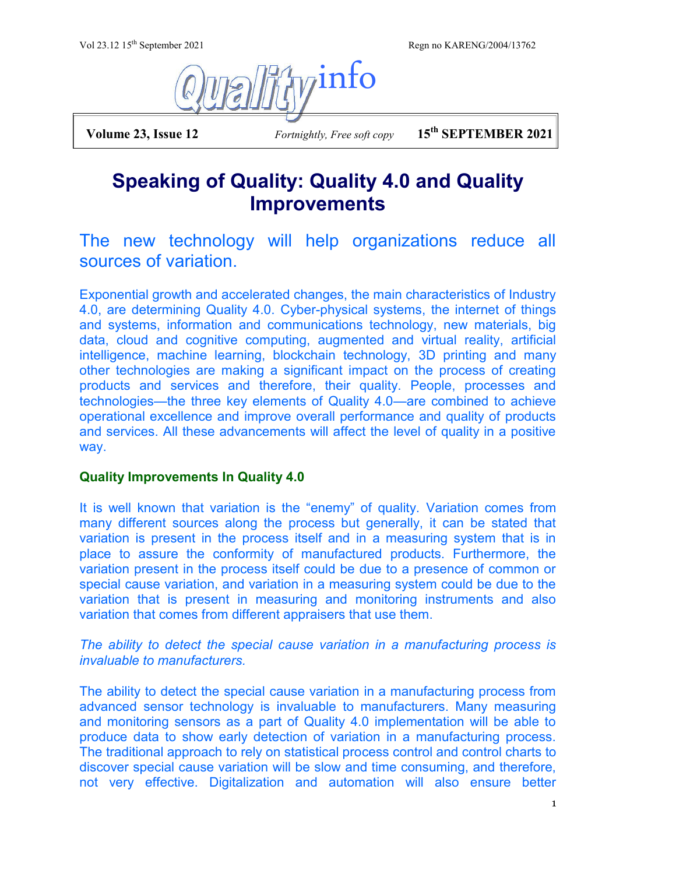Vol 23.12 15<sup>th</sup> September 2021 Regn no KARENG/2004/13762



 **Volume 23, Issue 12** *Fortnightly, Free soft copy* **15th SEPTEMBER 2021**

## **Speaking of Quality: Quality 4.0 and Quality Improvements**

The new technology will help organizations reduce all sources of variation.

Exponential growth and accelerated changes, the main characteristics of Industry 4.0, are determining Quality 4.0. Cyber-physical systems, the internet of things and systems, information and communications technology, new materials, big data, cloud and cognitive computing, augmented and virtual reality, artificial intelligence, machine learning, blockchain technology, 3D printing and many other technologies are making a significant impact on the process of creating products and services and therefore, their quality. People, processes and technologies—the three key elements of Quality 4.0—are combined to achieve operational excellence and improve overall performance and quality of products and services. All these advancements will affect the level of quality in a positive way.

## **Quality Improvements In Quality 4.0**

It is well known that variation is the "enemy" of quality. Variation comes from many different sources along the process but generally, it can be stated that variation is present in the process itself and in a measuring system that is in place to assure the conformity of manufactured products. Furthermore, the variation present in the process itself could be due to a presence of common or special cause variation, and variation in a measuring system could be due to the variation that is present in measuring and monitoring instruments and also variation that comes from different appraisers that use them.

*The ability to detect the special cause variation in a manufacturing process is invaluable to manufacturers.*

The ability to detect the special cause variation in a manufacturing process from advanced sensor technology is invaluable to manufacturers. Many measuring and monitoring sensors as a part of Quality 4.0 implementation will be able to produce data to show early detection of variation in a manufacturing process. The traditional approach to rely on statistical process control and control charts to discover special cause variation will be slow and time consuming, and therefore, not very effective. Digitalization and automation will also ensure better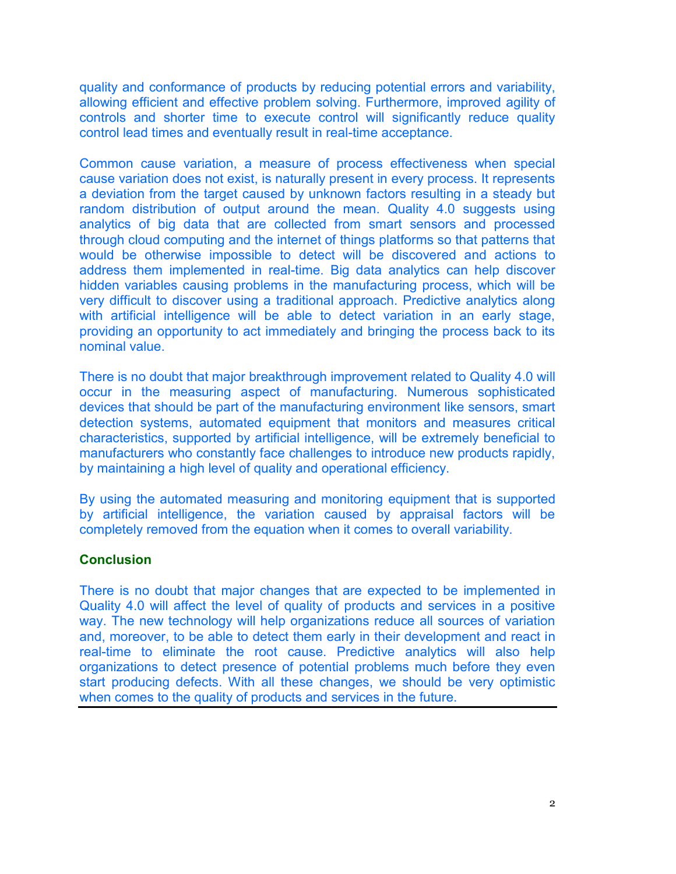quality and conformance of products by reducing potential errors and variability, allowing efficient and effective problem solving. Furthermore, improved agility of controls and shorter time to execute control will significantly reduce quality control lead times and eventually result in real-time acceptance.

Common cause variation, a measure of process effectiveness when special cause variation does not exist, is naturally present in every process. It represents a deviation from the target caused by unknown factors resulting in a steady but random distribution of output around the mean. Quality 4.0 suggests using analytics of big data that are collected from smart sensors and processed through cloud computing and the internet of things platforms so that patterns that would be otherwise impossible to detect will be discovered and actions to address them implemented in real-time. Big data analytics can help discover hidden variables causing problems in the manufacturing process, which will be very difficult to discover using a traditional approach. Predictive analytics along with artificial intelligence will be able to detect variation in an early stage, providing an opportunity to act immediately and bringing the process back to its nominal value.

There is no doubt that major breakthrough improvement related to Quality 4.0 will occur in the measuring aspect of manufacturing. Numerous sophisticated devices that should be part of the manufacturing environment like sensors, smart detection systems, automated equipment that monitors and measures critical characteristics, supported by artificial intelligence, will be extremely beneficial to manufacturers who constantly face challenges to introduce new products rapidly, by maintaining a high level of quality and operational efficiency.

By using the automated measuring and monitoring equipment that is supported by artificial intelligence, the variation caused by appraisal factors will be completely removed from the equation when it comes to overall variability.

## **Conclusion**

There is no doubt that major changes that are expected to be implemented in Quality 4.0 will affect the level of quality of products and services in a positive way. The new technology will help organizations reduce all sources of variation and, moreover, to be able to detect them early in their development and react in real-time to eliminate the root cause. Predictive analytics will also help organizations to detect presence of potential problems much before they even start producing defects. With all these changes, we should be very optimistic when comes to the quality of products and services in the future.